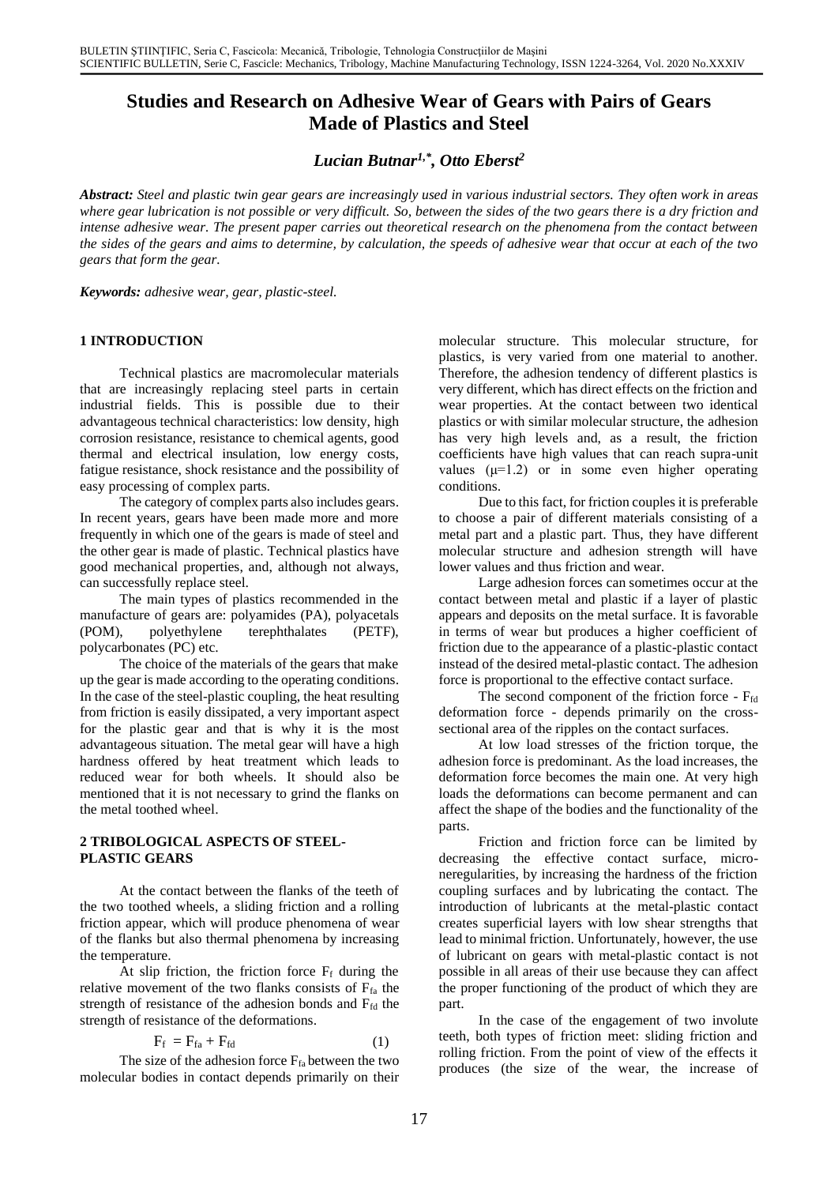# **Studies and Research on Adhesive Wear of Gears with Pairs of Gears Made of Plastics and Steel**

# *Lucian Butnar1,\* , Otto Eberst<sup>2</sup>*

*Abstract: Steel and plastic twin gear gears are increasingly used in various industrial sectors. They often work in areas where gear lubrication is not possible or very difficult. So, between the sides of the two gears there is a dry friction and intense adhesive wear. The present paper carries out theoretical research on the phenomena from the contact between the sides of the gears and aims to determine, by calculation, the speeds of adhesive wear that occur at each of the two gears that form the gear.*

*Keywords: adhesive wear, gear, plastic-steel.*

### **1 INTRODUCTION**

Technical plastics are macromolecular materials that are increasingly replacing steel parts in certain industrial fields. This is possible due to their advantageous technical characteristics: low density, high corrosion resistance, resistance to chemical agents, good thermal and electrical insulation, low energy costs, fatigue resistance, shock resistance and the possibility of easy processing of complex parts*.*

The category of complex parts also includes gears. In recent years, gears have been made more and more frequently in which one of the gears is made of steel and the other gear is made of plastic. Technical plastics have good mechanical properties, and, although not always, can successfully replace steel.

The main types of plastics recommended in the manufacture of gears are: polyamides (PA), polyacetals (POM), polyethylene terephthalates (PETF), polycarbonates (PC) etc.

The choice of the materials of the gears that make up the gear is made according to the operating conditions. In the case of the steel-plastic coupling, the heat resulting from friction is easily dissipated, a very important aspect for the plastic gear and that is why it is the most advantageous situation. The metal gear will have a high hardness offered by heat treatment which leads to reduced wear for both wheels. It should also be mentioned that it is not necessary to grind the flanks on the metal toothed wheel.

### **2 TRIBOLOGICAL ASPECTS OF STEEL-PLASTIC GEARS**

At the contact between the flanks of the teeth of the two toothed wheels, a sliding friction and a rolling friction appear, which will produce phenomena of wear of the flanks but also thermal phenomena by increasing the temperature.

At slip friction, the friction force  $F_f$  during the relative movement of the two flanks consists of  $F<sub>fa</sub>$  the strength of resistance of the adhesion bonds and Ffd the strength of resistance of the deformations.

$$
F_f = F_{fa} + F_{fd} \tag{1}
$$

The size of the adhesion force  $F_{fa}$  between the two molecular bodies in contact depends primarily on their molecular structure. This molecular structure, for plastics, is very varied from one material to another. Therefore, the adhesion tendency of different plastics is very different, which has direct effects on the friction and wear properties. At the contact between two identical plastics or with similar molecular structure, the adhesion has very high levels and, as a result, the friction coefficients have high values that can reach supra-unit values  $(\mu=1.2)$  or in some even higher operating conditions.

Due to this fact, for friction couples it is preferable to choose a pair of different materials consisting of a metal part and a plastic part. Thus, they have different molecular structure and adhesion strength will have lower values and thus friction and wear.

Large adhesion forces can sometimes occur at the contact between metal and plastic if a layer of plastic appears and deposits on the metal surface. It is favorable in terms of wear but produces a higher coefficient of friction due to the appearance of a plastic-plastic contact instead of the desired metal-plastic contact. The adhesion force is proportional to the effective contact surface.

The second component of the friction force - Ffd deformation force - depends primarily on the crosssectional area of the ripples on the contact surfaces.

At low load stresses of the friction torque, the adhesion force is predominant. As the load increases, the deformation force becomes the main one. At very high loads the deformations can become permanent and can affect the shape of the bodies and the functionality of the parts.

Friction and friction force can be limited by decreasing the effective contact surface, microneregularities, by increasing the hardness of the friction coupling surfaces and by lubricating the contact. The introduction of lubricants at the metal-plastic contact creates superficial layers with low shear strengths that lead to minimal friction. Unfortunately, however, the use of lubricant on gears with metal-plastic contact is not possible in all areas of their use because they can affect the proper functioning of the product of which they are part.

In the case of the engagement of two involute teeth, both types of friction meet: sliding friction and rolling friction. From the point of view of the effects it produces (the size of the wear, the increase of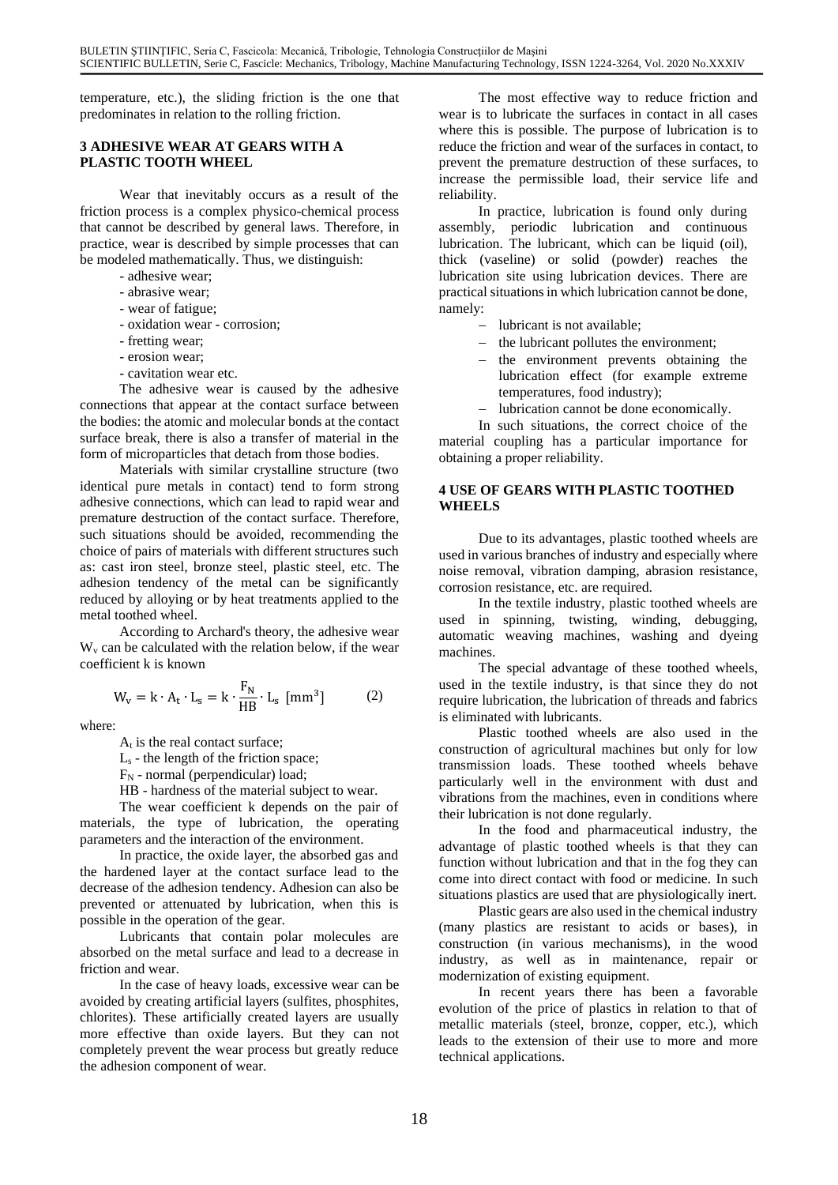temperature, etc.), the sliding friction is the one that predominates in relation to the rolling friction.

# **3 ADHESIVE WEAR AT GEARS WITH A PLASTIC TOOTH WHEEL**

Wear that inevitably occurs as a result of the friction process is a complex physico-chemical process that cannot be described by general laws. Therefore, in practice, wear is described by simple processes that can be modeled mathematically. Thus, we distinguish:

- adhesive wear;
- abrasive wear;
- wear of fatigue;
- oxidation wear corrosion;
- fretting wear;
- erosion wear;
- cavitation wear etc.

The adhesive wear is caused by the adhesive connections that appear at the contact surface between the bodies: the atomic and molecular bonds at the contact surface break, there is also a transfer of material in the form of microparticles that detach from those bodies.

Materials with similar crystalline structure (two identical pure metals in contact) tend to form strong adhesive connections, which can lead to rapid wear and premature destruction of the contact surface. Therefore, such situations should be avoided, recommending the choice of pairs of materials with different structures such as: cast iron steel, bronze steel, plastic steel, etc. The adhesion tendency of the metal can be significantly reduced by alloying or by heat treatments applied to the metal toothed wheel.

According to Archard's theory, the adhesive wear  $W<sub>v</sub>$  can be calculated with the relation below, if the wear coefficient k is known

$$
W_{v} = k \cdot A_{t} \cdot L_{s} = k \cdot \frac{F_{N}}{HB} \cdot L_{s} \text{ [mm}^{3} \text{]} \tag{2}
$$

where:

 $A_t$  is the real contact surface;

 $L<sub>s</sub>$  - the length of the friction space;

- $F_N$  normal (perpendicular) load;
- HB hardness of the material subject to wear.

The wear coefficient k depends on the pair of materials, the type of lubrication, the operating parameters and the interaction of the environment.

In practice, the oxide layer, the absorbed gas and the hardened layer at the contact surface lead to the decrease of the adhesion tendency. Adhesion can also be prevented or attenuated by lubrication, when this is possible in the operation of the gear.

Lubricants that contain polar molecules are absorbed on the metal surface and lead to a decrease in friction and wear.

In the case of heavy loads, excessive wear can be avoided by creating artificial layers (sulfites, phosphites, chlorites). These artificially created layers are usually more effective than oxide layers. But they can not completely prevent the wear process but greatly reduce the adhesion component of wear.

The most effective way to reduce friction and wear is to lubricate the surfaces in contact in all cases where this is possible. The purpose of lubrication is to reduce the friction and wear of the surfaces in contact, to prevent the premature destruction of these surfaces, to increase the permissible load, their service life and reliability.

In practice, lubrication is found only during assembly, periodic lubrication and continuous lubrication. The lubricant, which can be liquid (oil), thick (vaseline) or solid (powder) reaches the lubrication site using lubrication devices. There are practical situations in which lubrication cannot be done, namely:

- − lubricant is not available;
- − the lubricant pollutes the environment;
- − the environment prevents obtaining the lubrication effect (for example extreme temperatures, food industry);
- − lubrication cannot be done economically.

In such situations, the correct choice of the material coupling has a particular importance for obtaining a proper reliability.

## **4 USE OF GEARS WITH PLASTIC TOOTHED WHEELS**

Due to its advantages, plastic toothed wheels are used in various branches of industry and especially where noise removal, vibration damping, abrasion resistance, corrosion resistance, etc. are required.

In the textile industry, plastic toothed wheels are used in spinning, twisting, winding, debugging, automatic weaving machines, washing and dyeing machines.

The special advantage of these toothed wheels, used in the textile industry, is that since they do not require lubrication, the lubrication of threads and fabrics is eliminated with lubricants.

Plastic toothed wheels are also used in the construction of agricultural machines but only for low transmission loads. These toothed wheels behave particularly well in the environment with dust and vibrations from the machines, even in conditions where their lubrication is not done regularly.

In the food and pharmaceutical industry, the advantage of plastic toothed wheels is that they can function without lubrication and that in the fog they can come into direct contact with food or medicine. In such situations plastics are used that are physiologically inert.

Plastic gears are also used in the chemical industry (many plastics are resistant to acids or bases), in construction (in various mechanisms), in the wood industry, as well as in maintenance, repair or modernization of existing equipment.

In recent years there has been a favorable evolution of the price of plastics in relation to that of metallic materials (steel, bronze, copper, etc.), which leads to the extension of their use to more and more technical applications.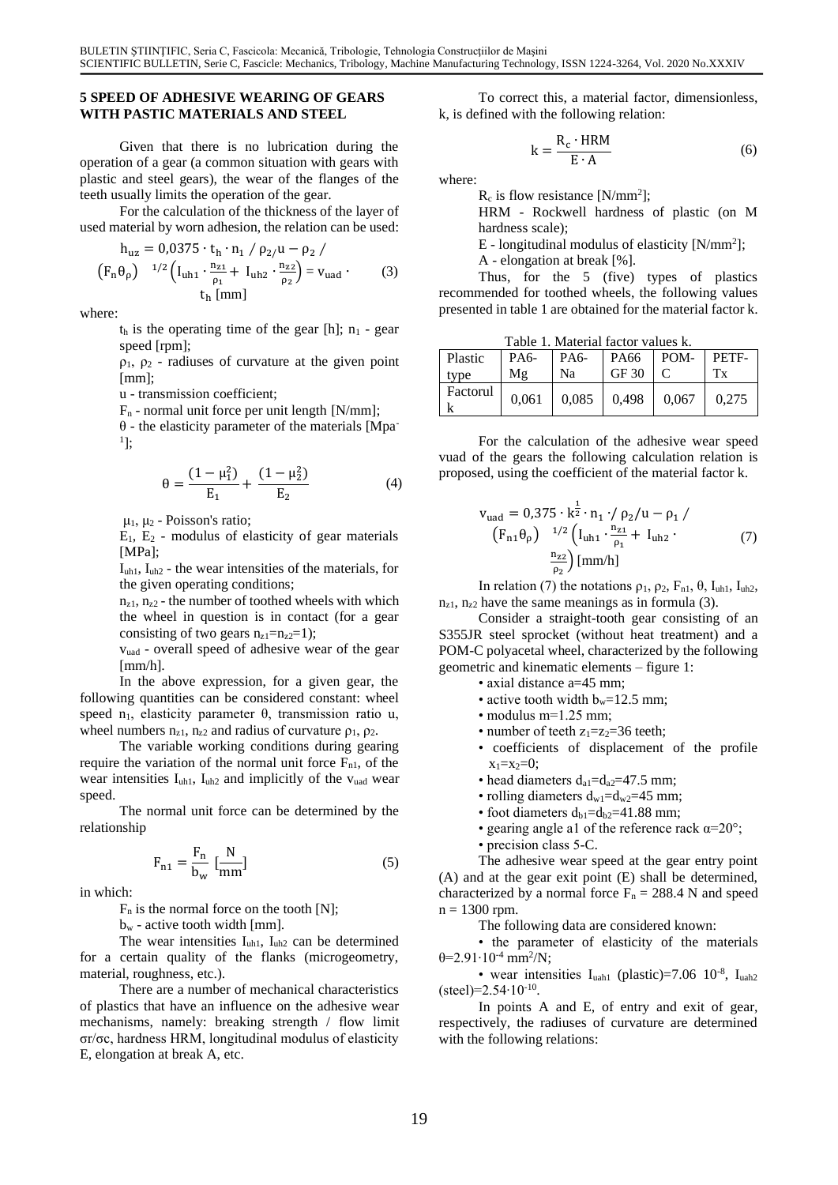### **5 SPEED OF ADHESIVE WEARING OF GEARS WITH PASTIC MATERIALS AND STEEL**

Given that there is no lubrication during the operation of a gear (a common situation with gears with plastic and steel gears), the wear of the flanges of the teeth usually limits the operation of the gear.

For the calculation of the thickness of the layer of used material by worn adhesion, the relation can be used:

$$
h_{uz} = 0.0375 \cdot t_h \cdot n_1 / \rho_2 / u - \rho_2 /
$$
  
\n
$$
(F_n \theta_\rho)^{-1/2} \left( I_{uh1} \cdot \frac{n_{z1}}{\rho_1} + I_{uh2} \cdot \frac{n_{z2}}{\rho_2} \right) = v_{uad}.
$$
 (3)  
\n
$$
t_h \text{[mm]}
$$

where:

 $t<sub>h</sub>$  is the operating time of the gear [h];  $n<sub>1</sub>$  - gear speed [rpm];

 $\rho_1$ ,  $\rho_2$  - radiuses of curvature at the given point [mm];

u - transmission coefficient;

 $F_n$  - normal unit force per unit length  $[N/mm]$ ;

θ - the elasticity parameter of the materials [Mpa-<sup>1</sup>];

$$
\theta = \frac{(1 - \mu_1^2)}{E_1} + \frac{(1 - \mu_2^2)}{E_2} \tag{4}
$$

 $μ<sub>1</sub>, μ<sub>2</sub> - Poisson's ratio;$ 

 $E_1$ ,  $E_2$  - modulus of elasticity of gear materials [MPa];

 $I<sub>uh1</sub>$ ,  $I<sub>uh2</sub>$  - the wear intensities of the materials, for the given operating conditions;

 $n_{z1}$ ,  $n_{z2}$  - the number of toothed wheels with which the wheel in question is in contact (for a gear consisting of two gears  $n_{z1}=n_{z2}=1$ );

vuad - overall speed of adhesive wear of the gear [mm/h].

In the above expression, for a given gear, the following quantities can be considered constant: wheel speed  $n_1$ , elasticity parameter  $\theta$ , transmission ratio u, wheel numbers  $n_{z1}$ ,  $n_{z2}$  and radius of curvature  $\rho_1$ ,  $\rho_2$ .

The variable working conditions during gearing require the variation of the normal unit force  $F_{n1}$ , of the wear intensities I<sub>uh1</sub>, I<sub>uh2</sub> and implicitly of the v<sub>uad</sub> wear speed.

The normal unit force can be determined by the relationship

$$
F_{n1} = \frac{F_n}{b_w} \left[ \frac{N}{mm} \right] \tag{5}
$$

in which:

 $F_n$  is the normal force on the tooth [N];

 $b_w$  - active tooth width [mm].

The wear intensities I<sub>uh1</sub>, I<sub>uh2</sub> can be determined for a certain quality of the flanks (microgeometry, material, roughness, etc.).

There are a number of mechanical characteristics of plastics that have an influence on the adhesive wear mechanisms, namely: breaking strength / flow limit σr/σc, hardness HRM, longitudinal modulus of elasticity E, elongation at break A, etc.

To correct this, a material factor, dimensionless, k, is defined with the following relation:

$$
k = \frac{R_c \cdot HRM}{E \cdot A} \tag{6}
$$

where:

 $R_c$  is flow resistance [N/mm<sup>2</sup>];

HRM - Rockwell hardness of plastic (on M hardness scale);

E - longitudinal modulus of elasticity [N/mm<sup>2</sup> ];

A - elongation at break [%].

Thus, for the 5 (five) types of plastics recommended for toothed wheels, the following values presented in table 1 are obtained for the material factor k.

Table 1. Material factor values k.

| Plastic<br>type     | PA6-<br>Mg | PA6-<br>Na | $P_A66$ $POM PETF-$<br>GF 30 $\pm$ C            |  |
|---------------------|------------|------------|-------------------------------------------------|--|
| Factorul<br>$\bf k$ |            |            | $0,061$   $0,085$   $0,498$   $0,067$   $0,275$ |  |

For the calculation of the adhesive wear speed vuad of the gears the following calculation relation is proposed, using the coefficient of the material factor k.

$$
v_{\text{uad}} = 0.375 \cdot k^{\frac{1}{2}} \cdot n_1 \cdot / \rho_2 / u - \rho_1 /
$$
  
\n
$$
(F_{n1} \theta_{\rho})^{-1/2} \left( I_{\text{uh1}} \cdot \frac{n_{z1}}{\rho_1} + I_{\text{uh2}} \cdot (7) \right)
$$
  
\n
$$
\frac{n_{z2}}{\rho_2} \left[ \text{mm/h} \right]
$$

In relation (7) the notations  $\rho_1$ ,  $\rho_2$ ,  $F_{n1}$ ,  $\theta$ ,  $I_{uh1}$ ,  $I_{uh2}$ ,  $n_{z1}$ ,  $n_{z2}$  have the same meanings as in formula (3).

Consider a straight-tooth gear consisting of an S355JR steel sprocket (without heat treatment) and a POM-C polyacetal wheel, characterized by the following geometric and kinematic elements – figure 1:

- axial distance a=45 mm;
	- active tooth width  $b_w=12.5$  mm;
	- modulus m=1.25 mm;
- number of teeth  $z_1 = z_2 = 36$  teeth;
- coefficients of displacement of the profile  $x_1=x_2=0$ ;
- head diameters  $d_{a1}=d_{a2}=47.5$  mm;
- rolling diameters  $d_{w1} = d_{w2} = 45$  mm;
- foot diameters  $d_{b1}=d_{b2}=41.88$  mm;
- gearing angle a1 of the reference rack  $\alpha = 20^{\circ}$ ;
- precision class 5-C.

The adhesive wear speed at the gear entry point (A) and at the gear exit point (E) shall be determined, characterized by a normal force  $F_n = 288.4$  N and speed  $n = 1300$  rpm.

The following data are considered known:

• the parameter of elasticity of the materials θ=2.91∙10-4 mm<sup>2</sup> /N;

• wear intensities  $I<sub>uah1</sub>$  (plastic)=7.06 10<sup>-8</sup>,  $I<sub>uah2</sub>$ (steel)=2.54∙10-10 .

In points A and E, of entry and exit of gear, respectively, the radiuses of curvature are determined with the following relations: